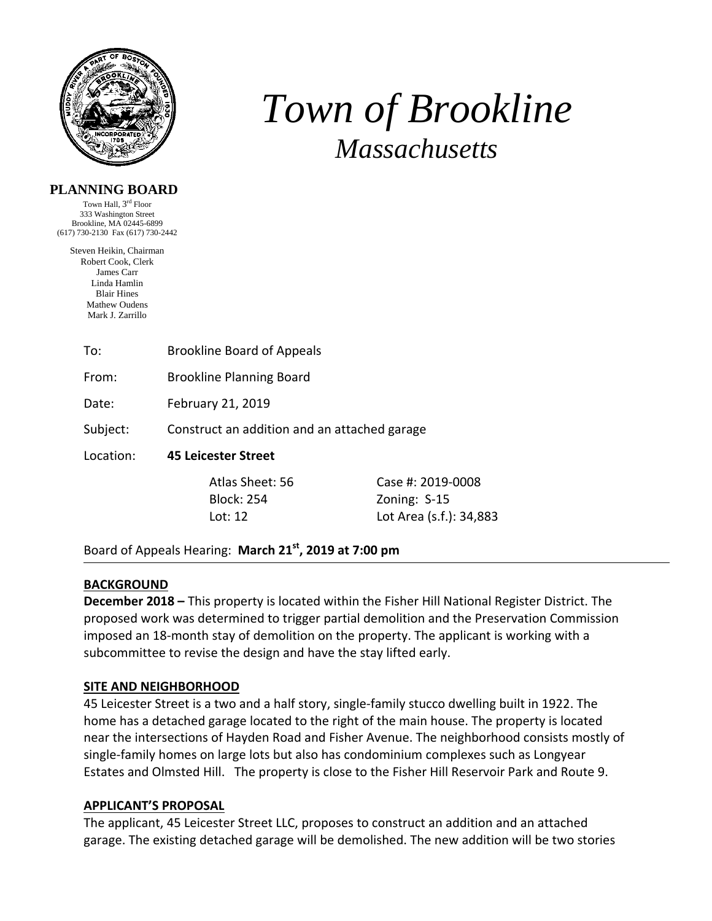

# *Town of Brookline Massachusetts*

## **PLANNING BOARD**

Town Hall, 3rd Floor 333 Washington Street Brookline, MA 02445-6899 (617) 730-2130 Fax (617) 730-2442

Steven Heikin, Chairman Robert Cook, Clerk James Carr Linda Hamlin Blair Hines Mathew Oudens Mark J. Zarrillo

| To: | <b>Brookline Board of Appeals</b> |
|-----|-----------------------------------|
|     |                                   |

From: Brookline Planning Board

Date: February 21, 2019

Subject: Construct an addition and an attached garage

Location: **45 Leicester Street** 

 Atlas Sheet: 56 Case #: 2019‐0008 Block: 254 Zoning: S-15 Lot: 12 Lot Area (s.f.): 34,883

Board of Appeals Hearing: **March 21st, 2019 at 7:00 pm**

## **BACKGROUND**

**December 2018 –** This property is located within the Fisher Hill National Register District. The proposed work was determined to trigger partial demolition and the Preservation Commission imposed an 18‐month stay of demolition on the property. The applicant is working with a subcommittee to revise the design and have the stay lifted early.

## **SITE AND NEIGHBORHOOD**

45 Leicester Street is a two and a half story, single-family stucco dwelling built in 1922. The home has a detached garage located to the right of the main house. The property is located near the intersections of Hayden Road and Fisher Avenue. The neighborhood consists mostly of single‐family homes on large lots but also has condominium complexes such as Longyear Estates and Olmsted Hill. The property is close to the Fisher Hill Reservoir Park and Route 9.

## **APPLICANT'S PROPOSAL**

The applicant, 45 Leicester Street LLC, proposes to construct an addition and an attached garage. The existing detached garage will be demolished. The new addition will be two stories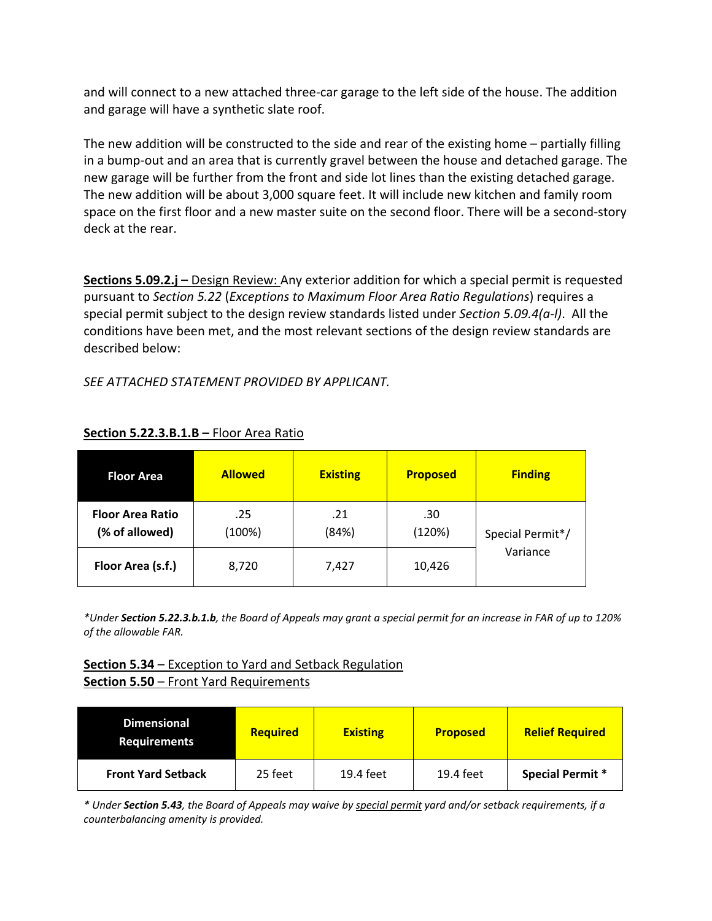and will connect to a new attached three‐car garage to the left side of the house. The addition and garage will have a synthetic slate roof.

The new addition will be constructed to the side and rear of the existing home – partially filling in a bump‐out and an area that is currently gravel between the house and detached garage. The new garage will be further from the front and side lot lines than the existing detached garage. The new addition will be about 3,000 square feet. It will include new kitchen and family room space on the first floor and a new master suite on the second floor. There will be a second-story deck at the rear.

**Sections 5.09.2.j –** Design Review: Any exterior addition for which a special permit is requested pursuant to *Section 5.22* (*Exceptions to Maximum Floor Area Ratio Regulations*) requires a special permit subject to the design review standards listed under *Section 5.09.4(a‐l)*. All the conditions have been met, and the most relevant sections of the design review standards are described below:

*SEE ATTACHED STATEMENT PROVIDED BY APPLICANT.* 

| <b>Floor Area</b>                         | <b>Allowed</b> | <b>Existing</b> | <b>Proposed</b> | <b>Finding</b>               |
|-------------------------------------------|----------------|-----------------|-----------------|------------------------------|
| <b>Floor Area Ratio</b><br>(% of allowed) | .25<br>(100%)  | .21<br>(84%)    | .30<br>(120%)   | Special Permit*/<br>Variance |
| Floor Area (s.f.)                         | 8,720          | 7,427           | 10,426          |                              |

## **Section 5.22.3.B.1.B –** Floor Area Ratio

\*Under Section 5.22.3.b.1.b, the Board of Appeals may grant a special permit for an increase in FAR of up to 120% *of the allowable FAR.* 

# **Section 5.34** – Exception to Yard and Setback Regulation **Section 5.50** – Front Yard Requirements

| <b>Dimensional</b><br><b>Requirements</b> | <b>Required</b> | <b>Existing</b> | <b>Proposed</b> | <b>Relief Required</b>  |
|-------------------------------------------|-----------------|-----------------|-----------------|-------------------------|
| <b>Front Yard Setback</b>                 | 25 feet         | 19.4 feet       | 19.4 feet       | <b>Special Permit *</b> |

\* Under Section 5.43, the Board of Appeals may waive by special permit yard and/or setback requirements, if a *counterbalancing amenity is provided.*